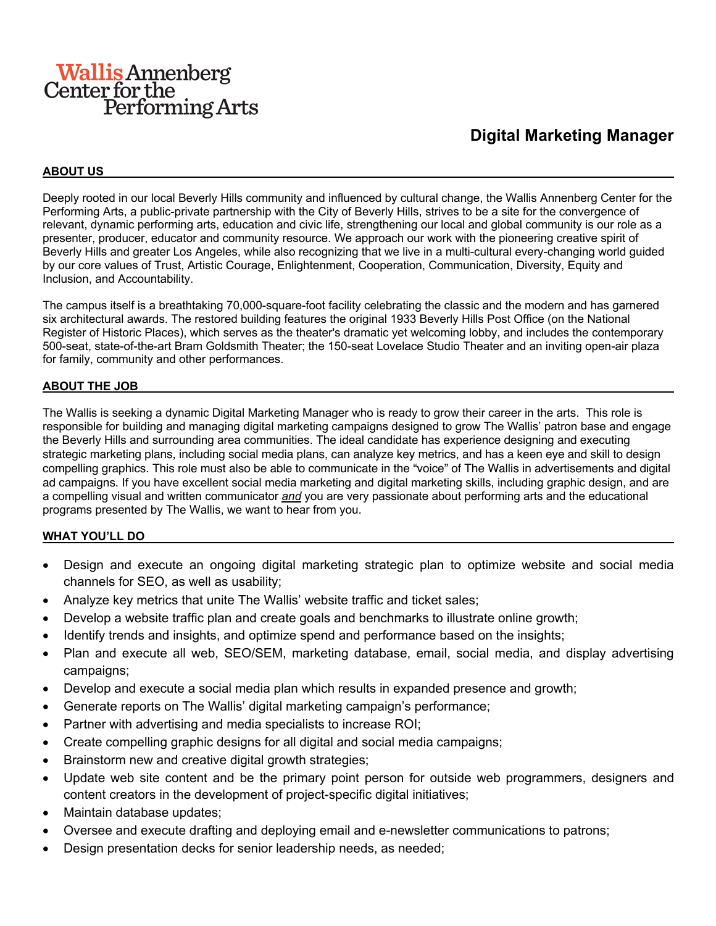# **Wallis Annenberg** Center for the<br>Performing Arts

# **Digital Marketing Manager**

#### **ABOUT US**

Deeply rooted in our local Beverly Hills community and influenced by cultural change, the Wallis Annenberg Center for the Performing Arts, a public-private partnership with the City of Beverly Hills, strives to be a site for the convergence of relevant, dynamic performing arts, education and civic life, strengthening our local and global community is our role as a presenter, producer, educator and community resource. We approach our work with the pioneering creative spirit of Beverly Hills and greater Los Angeles, while also recognizing that we live in a multi-cultural every-changing world guided by our core values of Trust, Artistic Courage, Enlightenment, Cooperation, Communication, Diversity, Equity and Inclusion, and Accountability.

The campus itself is a breathtaking 70,000-square-foot facility celebrating the classic and the modern and has garnered six architectural awards. The restored building features the original 1933 Beverly Hills Post Office (on the National Register of Historic Places), which serves as the theater's dramatic yet welcoming lobby, and includes the contemporary 500-seat, state-of-the-art Bram Goldsmith Theater; the 150-seat Lovelace Studio Theater and an inviting open-air plaza for family, community and other performances.

#### **ABOUT THE JOB**

The Wallis is seeking a dynamic Digital Marketing Manager who is ready to grow their career in the arts. This role is responsible for building and managing digital marketing campaigns designed to grow The Wallis' patron base and engage the Beverly Hills and surrounding area communities. The ideal candidate has experience designing and executing strategic marketing plans, including social media plans, can analyze key metrics, and has a keen eye and skill to design compelling graphics. This role must also be able to communicate in the "voice" of The Wallis in advertisements and digital ad campaigns. If you have excellent social media marketing and digital marketing skills, including graphic design, and are a compelling visual and written communicator *and* you are very passionate about performing arts and the educational programs presented by The Wallis, we want to hear from you.

#### **WHAT YOU'LL DO**

- Design and execute an ongoing digital marketing strategic plan to optimize website and social media channels for SEO, as well as usability;
- Analyze key metrics that unite The Wallis' website traffic and ticket sales;
- Develop a website traffic plan and create goals and benchmarks to illustrate online growth;
- Identify trends and insights, and optimize spend and performance based on the insights;
- Plan and execute all web, SEO/SEM, marketing database, email, social media, and display advertising campaigns;
- Develop and execute a social media plan which results in expanded presence and growth;
- Generate reports on The Wallis' digital marketing campaign's performance;
- Partner with advertising and media specialists to increase ROI;
- Create compelling graphic designs for all digital and social media campaigns;
- Brainstorm new and creative digital growth strategies;
- Update web site content and be the primary point person for outside web programmers, designers and content creators in the development of project-specific digital initiatives;
- Maintain database updates;
- Oversee and execute drafting and deploying email and e-newsletter communications to patrons;
- Design presentation decks for senior leadership needs, as needed;